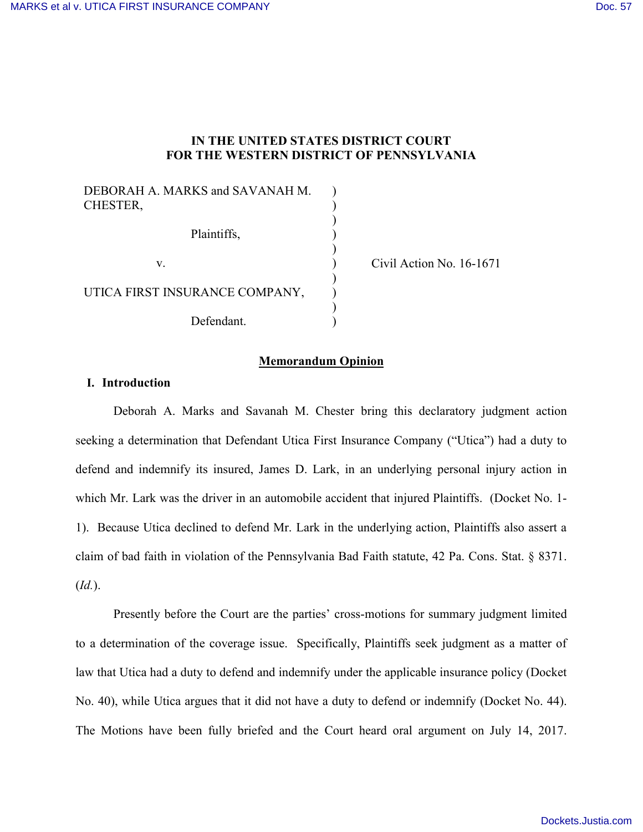# **IN THE UNITED STATES DISTRICT COURT FOR THE WESTERN DISTRICT OF PENNSYLVANIA**

) ) ) ) ) ) ) ) ) )

| DEBORAH A. MARKS and SAVANAH M.<br>CHESTER, |
|---------------------------------------------|
| Plaintiffs,                                 |
| V                                           |
| UTICA FIRST INSURANCE COMPANY,              |
| Defendant.                                  |

Civil Action No. 16-1671

### **Memorandum Opinion**

# **I. Introduction**

Deborah A. Marks and Savanah M. Chester bring this declaratory judgment action seeking a determination that Defendant Utica First Insurance Company ("Utica") had a duty to defend and indemnify its insured, James D. Lark, in an underlying personal injury action in which Mr. Lark was the driver in an automobile accident that injured Plaintiffs. (Docket No. 1- 1). Because Utica declined to defend Mr. Lark in the underlying action, Plaintiffs also assert a claim of bad faith in violation of the Pennsylvania Bad Faith statute, 42 Pa. Cons. Stat. § 8371. (*Id.*).

Presently before the Court are the parties' cross-motions for summary judgment limited to a determination of the coverage issue. Specifically, Plaintiffs seek judgment as a matter of law that Utica had a duty to defend and indemnify under the applicable insurance policy (Docket No. 40), while Utica argues that it did not have a duty to defend or indemnify (Docket No. 44). The Motions have been fully briefed and the Court heard oral argument on July 14, 2017.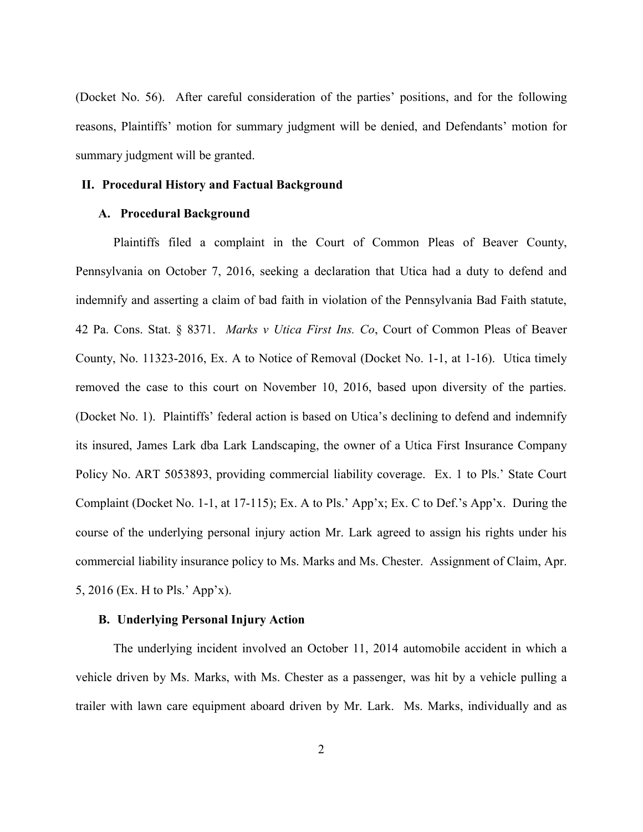(Docket No. 56). After careful consideration of the parties' positions, and for the following reasons, Plaintiffs' motion for summary judgment will be denied, and Defendants' motion for summary judgment will be granted.

# **II. Procedural History and Factual Background**

#### **A. Procedural Background**

Plaintiffs filed a complaint in the Court of Common Pleas of Beaver County, Pennsylvania on October 7, 2016, seeking a declaration that Utica had a duty to defend and indemnify and asserting a claim of bad faith in violation of the Pennsylvania Bad Faith statute, 42 Pa. Cons. Stat. § 8371. *Marks v Utica First Ins. Co*, Court of Common Pleas of Beaver County, No. 11323-2016, Ex. A to Notice of Removal (Docket No. 1-1, at 1-16). Utica timely removed the case to this court on November 10, 2016, based upon diversity of the parties. (Docket No. 1). Plaintiffs' federal action is based on Utica's declining to defend and indemnify its insured, James Lark dba Lark Landscaping, the owner of a Utica First Insurance Company Policy No. ART 5053893, providing commercial liability coverage. Ex. 1 to Pls.' State Court Complaint (Docket No. 1-1, at 17-115); Ex. A to Pls.' App'x; Ex. C to Def.'s App'x. During the course of the underlying personal injury action Mr. Lark agreed to assign his rights under his commercial liability insurance policy to Ms. Marks and Ms. Chester. Assignment of Claim, Apr. 5, 2016 (Ex. H to Pls.' App'x).

## **B. Underlying Personal Injury Action**

The underlying incident involved an October 11, 2014 automobile accident in which a vehicle driven by Ms. Marks, with Ms. Chester as a passenger, was hit by a vehicle pulling a trailer with lawn care equipment aboard driven by Mr. Lark. Ms. Marks, individually and as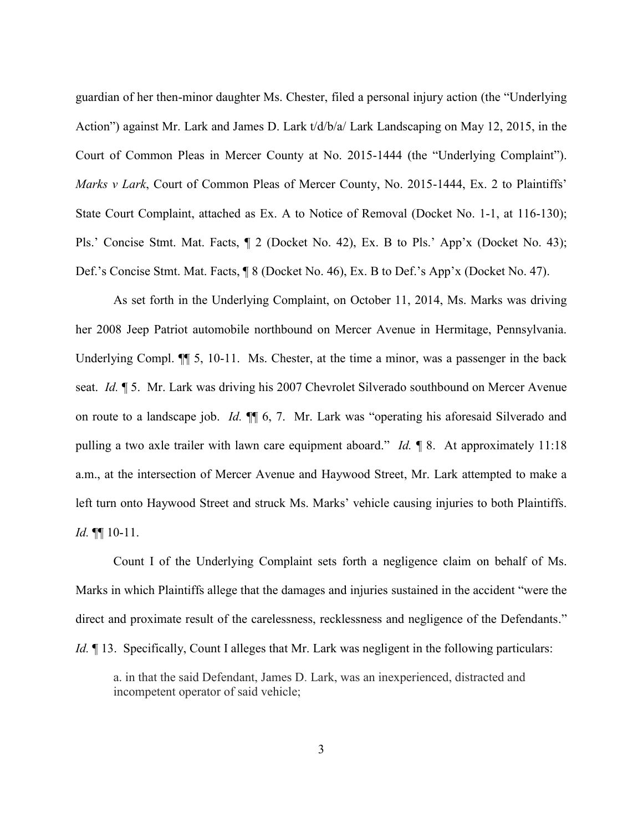guardian of her then-minor daughter Ms. Chester, filed a personal injury action (the "Underlying Action") against Mr. Lark and James D. Lark t/d/b/a/ Lark Landscaping on May 12, 2015, in the Court of Common Pleas in Mercer County at No. 2015-1444 (the "Underlying Complaint"). *Marks v Lark*, Court of Common Pleas of Mercer County, No. 2015-1444, Ex. 2 to Plaintiffs' State Court Complaint, attached as Ex. A to Notice of Removal (Docket No. 1-1, at 116-130); Pls.' Concise Stmt. Mat. Facts, ¶ 2 (Docket No. 42), Ex. B to Pls.' App'x (Docket No. 43); Def.'s Concise Stmt. Mat. Facts, ¶ 8 (Docket No. 46), Ex. B to Def.'s App'x (Docket No. 47).

As set forth in the Underlying Complaint, on October 11, 2014, Ms. Marks was driving her 2008 Jeep Patriot automobile northbound on Mercer Avenue in Hermitage, Pennsylvania. Underlying Compl.  $\P$  5, 10-11. Ms. Chester, at the time a minor, was a passenger in the back seat. *Id.* ¶ 5. Mr. Lark was driving his 2007 Chevrolet Silverado southbound on Mercer Avenue on route to a landscape job. *Id.* ¶¶ 6, 7. Mr. Lark was "operating his aforesaid Silverado and pulling a two axle trailer with lawn care equipment aboard." *Id.* ¶ 8. At approximately 11:18 a.m., at the intersection of Mercer Avenue and Haywood Street, Mr. Lark attempted to make a left turn onto Haywood Street and struck Ms. Marks' vehicle causing injuries to both Plaintiffs. *Id.* ¶¶ 10-11.

Count I of the Underlying Complaint sets forth a negligence claim on behalf of Ms. Marks in which Plaintiffs allege that the damages and injuries sustained in the accident "were the direct and proximate result of the carelessness, recklessness and negligence of the Defendants." *Id.*  $\parallel$  13. Specifically, Count I alleges that Mr. Lark was negligent in the following particulars:

a. in that the said Defendant, James D. Lark, was an inexperienced, distracted and incompetent operator of said vehicle;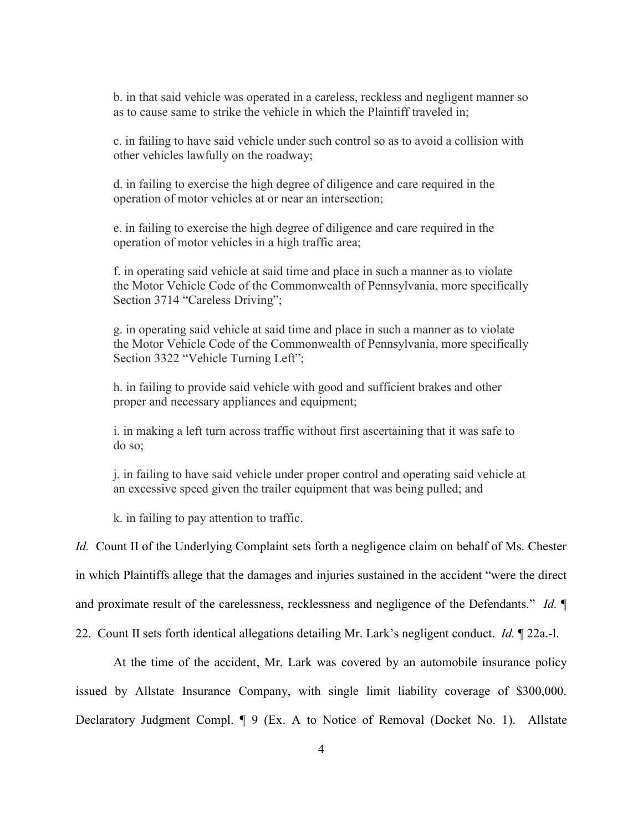b. in that said vehicle was operated in a careless, reckless and negligent manner so as to cause same to strike the vehicle in which the Plaintiff traveled in;

c. in failing to have said vehicle under such control so as to avoid a collision with other vehicles lawfully on the roadway;

d. in failing to exercise the high degree of diligence and care required in the operation of motor vehicles at or near an intersection;

e. in failing to exercise the high degree of diligence and care required in the operation of motor vehicles in a high traffic area;

f. in operating said vehicle at said time and place in such a manner as to violate the Motor Vehicle Code of the Commonwealth of Pennsylvania, more specifically Section 3714 "Careless Driving";

g. in operating said vehicle at said time and place in such a manner as to violate the Motor Vehicle Code of the Commonwealth of Pennsylvania, more specifically Section 3322 "Vehicle Turning Left";

h. in failing to provide said vehicle with good and sufficient brakes and other proper and necessary appliances and equipment;

i. in making a left turn across traffic without first ascertaining that it was safe to do so;

j. in failing to have said vehicle under proper control and operating said vehicle at an excessive speed given the trailer equipment that was being pulled; and

k. in failing to pay attention to traffic.

*Id.* Count II of the Underlying Complaint sets forth a negligence claim on behalf of Ms. Chester in which Plaintiffs allege that the damages and injuries sustained in the accident "were the direct and proximate result of the carelessness, recklessness and negligence of the Defendants." *Id.* ¶

22. Count II sets forth identical allegations detailing Mr. Lark's negligent conduct. *Id.* ¶ 22a.-l.

At the time of the accident, Mr. Lark was covered by an automobile insurance policy issued by Allstate Insurance Company, with single limit liability coverage of \$300,000. Declaratory Judgment Compl. ¶ 9 (Ex. A to Notice of Removal (Docket No. 1). Allstate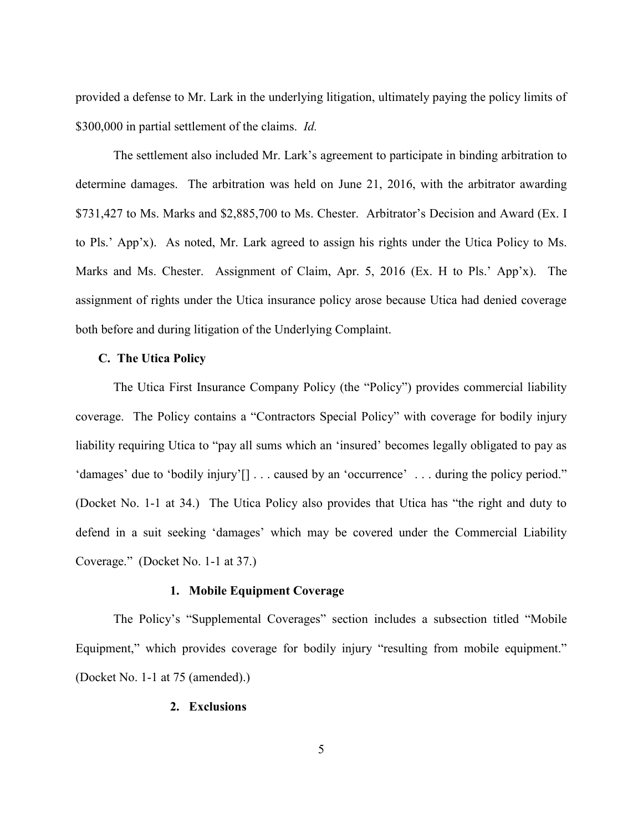provided a defense to Mr. Lark in the underlying litigation, ultimately paying the policy limits of \$300,000 in partial settlement of the claims. *Id.*

The settlement also included Mr. Lark's agreement to participate in binding arbitration to determine damages. The arbitration was held on June 21, 2016, with the arbitrator awarding \$731,427 to Ms. Marks and \$2,885,700 to Ms. Chester. Arbitrator's Decision and Award (Ex. I to Pls.' App'x). As noted, Mr. Lark agreed to assign his rights under the Utica Policy to Ms. Marks and Ms. Chester. Assignment of Claim, Apr. 5, 2016 (Ex. H to Pls.' App'x). The assignment of rights under the Utica insurance policy arose because Utica had denied coverage both before and during litigation of the Underlying Complaint.

#### **C. The Utica Policy**

The Utica First Insurance Company Policy (the "Policy") provides commercial liability coverage. The Policy contains a "Contractors Special Policy" with coverage for bodily injury liability requiring Utica to "pay all sums which an 'insured' becomes legally obligated to pay as 'damages' due to 'bodily injury'[] . . . caused by an 'occurrence' . . . during the policy period." (Docket No. 1-1 at 34.) The Utica Policy also provides that Utica has "the right and duty to defend in a suit seeking 'damages' which may be covered under the Commercial Liability Coverage." (Docket No. 1-1 at 37.)

#### **1. Mobile Equipment Coverage**

The Policy's "Supplemental Coverages" section includes a subsection titled "Mobile Equipment," which provides coverage for bodily injury "resulting from mobile equipment." (Docket No. 1-1 at 75 (amended).)

# **2. Exclusions**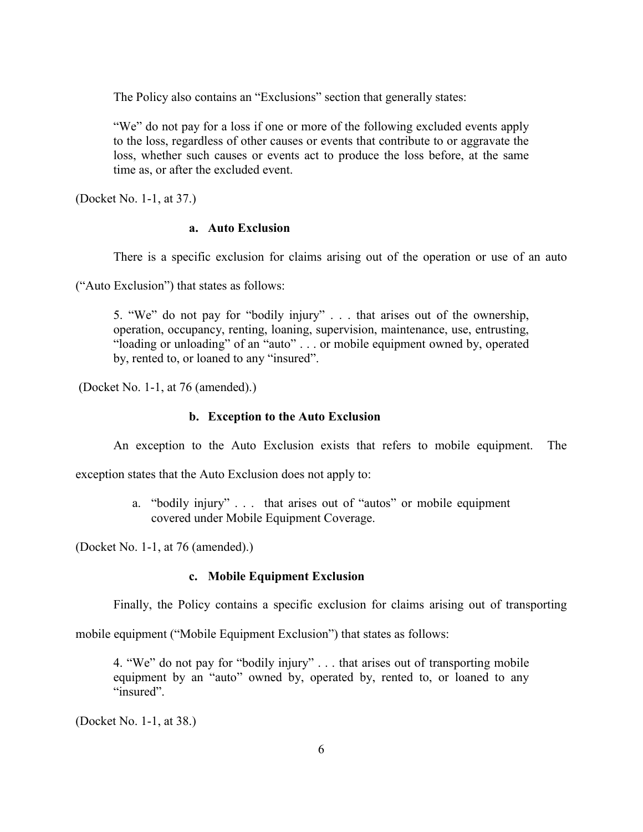The Policy also contains an "Exclusions" section that generally states:

"We" do not pay for a loss if one or more of the following excluded events apply to the loss, regardless of other causes or events that contribute to or aggravate the loss, whether such causes or events act to produce the loss before, at the same time as, or after the excluded event.

(Docket No. 1-1, at 37.)

#### **a. Auto Exclusion**

There is a specific exclusion for claims arising out of the operation or use of an auto

("Auto Exclusion") that states as follows:

5. "We" do not pay for "bodily injury" . . . that arises out of the ownership, operation, occupancy, renting, loaning, supervision, maintenance, use, entrusting, "loading or unloading" of an "auto" . . . or mobile equipment owned by, operated by, rented to, or loaned to any "insured".

(Docket No. 1-1, at 76 (amended).)

#### **b. Exception to the Auto Exclusion**

An exception to the Auto Exclusion exists that refers to mobile equipment. The

exception states that the Auto Exclusion does not apply to:

a. "bodily injury" . . . that arises out of "autos" or mobile equipment covered under Mobile Equipment Coverage.

(Docket No. 1-1, at 76 (amended).)

### **c. Mobile Equipment Exclusion**

Finally, the Policy contains a specific exclusion for claims arising out of transporting

mobile equipment ("Mobile Equipment Exclusion") that states as follows:

4. "We" do not pay for "bodily injury" . . . that arises out of transporting mobile equipment by an "auto" owned by, operated by, rented to, or loaned to any "insured".

(Docket No. 1-1, at 38.)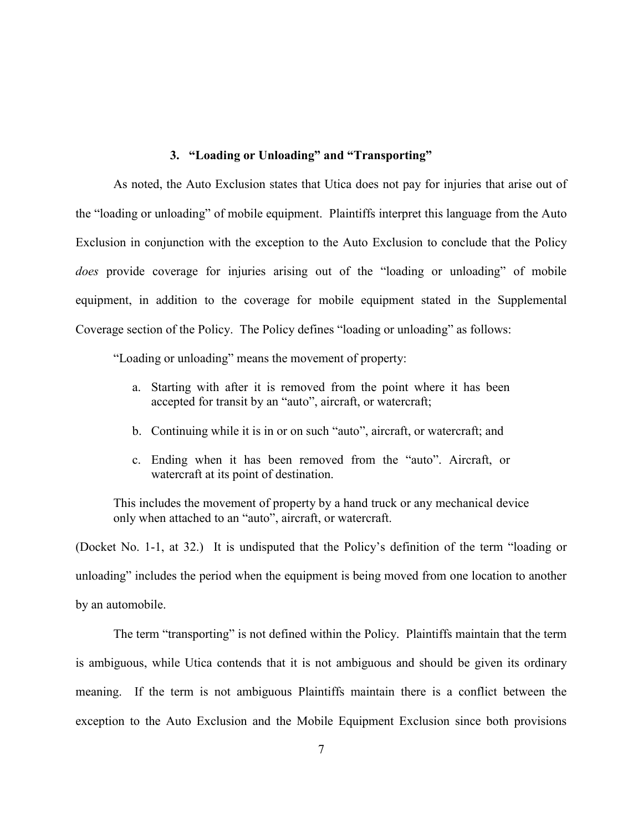### **3. "Loading or Unloading" and "Transporting"**

As noted, the Auto Exclusion states that Utica does not pay for injuries that arise out of the "loading or unloading" of mobile equipment. Plaintiffs interpret this language from the Auto Exclusion in conjunction with the exception to the Auto Exclusion to conclude that the Policy *does* provide coverage for injuries arising out of the "loading or unloading" of mobile equipment, in addition to the coverage for mobile equipment stated in the Supplemental Coverage section of the Policy. The Policy defines "loading or unloading" as follows:

"Loading or unloading" means the movement of property:

- a. Starting with after it is removed from the point where it has been accepted for transit by an "auto", aircraft, or watercraft;
- b. Continuing while it is in or on such "auto", aircraft, or watercraft; and
- c. Ending when it has been removed from the "auto". Aircraft, or watercraft at its point of destination.

This includes the movement of property by a hand truck or any mechanical device only when attached to an "auto", aircraft, or watercraft.

(Docket No. 1-1, at 32.) It is undisputed that the Policy's definition of the term "loading or unloading" includes the period when the equipment is being moved from one location to another by an automobile.

The term "transporting" is not defined within the Policy. Plaintiffs maintain that the term is ambiguous, while Utica contends that it is not ambiguous and should be given its ordinary meaning. If the term is not ambiguous Plaintiffs maintain there is a conflict between the exception to the Auto Exclusion and the Mobile Equipment Exclusion since both provisions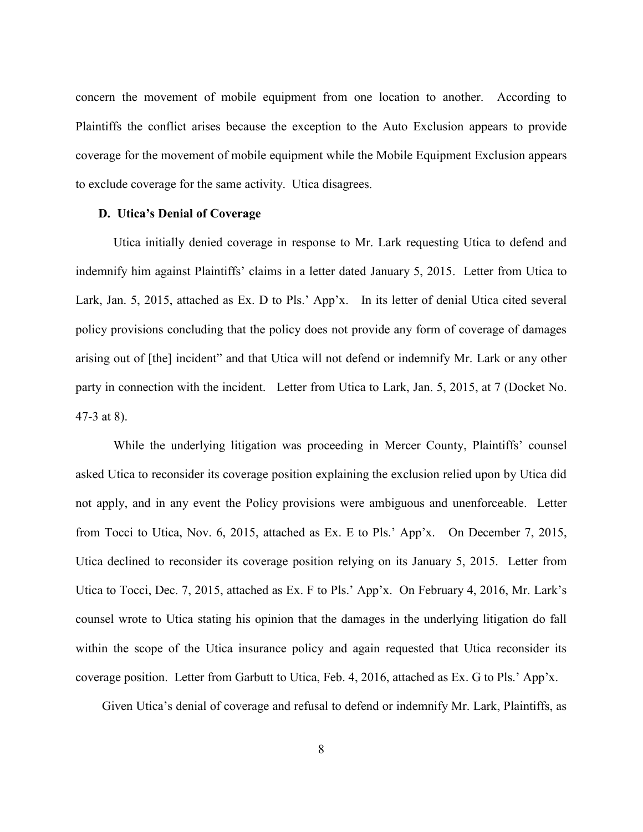concern the movement of mobile equipment from one location to another. According to Plaintiffs the conflict arises because the exception to the Auto Exclusion appears to provide coverage for the movement of mobile equipment while the Mobile Equipment Exclusion appears to exclude coverage for the same activity. Utica disagrees.

#### **D. Utica's Denial of Coverage**

Utica initially denied coverage in response to Mr. Lark requesting Utica to defend and indemnify him against Plaintiffs' claims in a letter dated January 5, 2015. Letter from Utica to Lark, Jan. 5, 2015, attached as Ex. D to Pls.' App'x. In its letter of denial Utica cited several policy provisions concluding that the policy does not provide any form of coverage of damages arising out of [the] incident" and that Utica will not defend or indemnify Mr. Lark or any other party in connection with the incident. Letter from Utica to Lark, Jan. 5, 2015, at 7 (Docket No. 47-3 at 8).

While the underlying litigation was proceeding in Mercer County, Plaintiffs' counsel asked Utica to reconsider its coverage position explaining the exclusion relied upon by Utica did not apply, and in any event the Policy provisions were ambiguous and unenforceable. Letter from Tocci to Utica, Nov. 6, 2015, attached as Ex. E to Pls.' App'x. On December 7, 2015, Utica declined to reconsider its coverage position relying on its January 5, 2015. Letter from Utica to Tocci, Dec. 7, 2015, attached as Ex. F to Pls.' App'x. On February 4, 2016, Mr. Lark's counsel wrote to Utica stating his opinion that the damages in the underlying litigation do fall within the scope of the Utica insurance policy and again requested that Utica reconsider its coverage position. Letter from Garbutt to Utica, Feb. 4, 2016, attached as Ex. G to Pls.' App'x.

Given Utica's denial of coverage and refusal to defend or indemnify Mr. Lark, Plaintiffs, as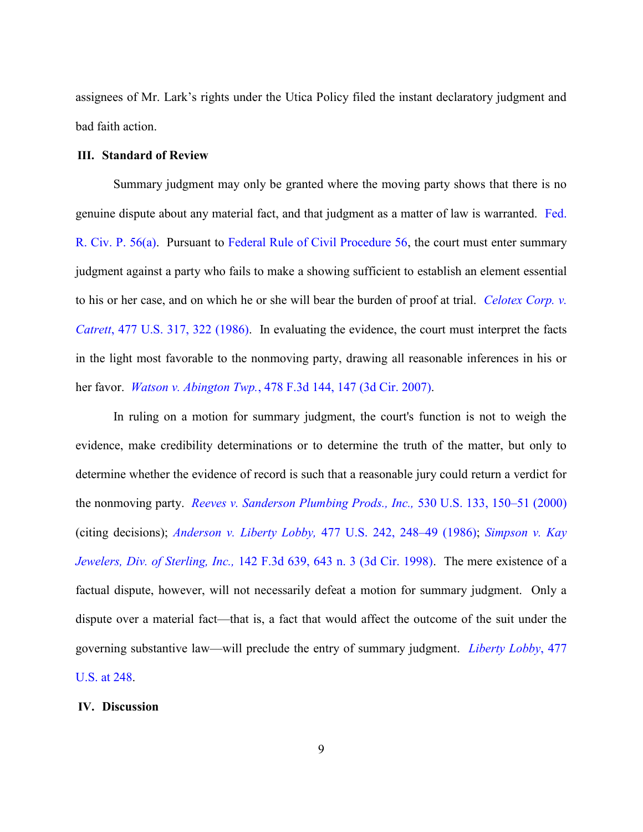assignees of Mr. Lark's rights under the Utica Policy filed the instant declaratory judgment and bad faith action.

# **III. Standard of Review**

Summary judgment may only be granted where the moving party shows that there is no genuine dispute about any material fact, and that judgment as a matter of law is warranted. [Fed.](https://www.westlaw.com/Document/N1B4C0B30B96A11D8983DF34406B5929B/View/FullText.html?transitionType=Default&contextData=(sc.Default)&VR=3.0&RS=da3.0)  [R. Civ. P. 56\(a\).](https://www.westlaw.com/Document/N1B4C0B30B96A11D8983DF34406B5929B/View/FullText.html?transitionType=Default&contextData=(sc.Default)&VR=3.0&RS=da3.0) Pursuant to [Federal Rule of Civil Procedure 56,](https://www.westlaw.com/Document/N1B4C0B30B96A11D8983DF34406B5929B/View/FullText.html?transitionType=Default&contextData=(sc.Default)&VR=3.0&RS=da3.0) the court must enter summary judgment against a party who fails to make a showing sufficient to establish an element essential to his or her case, and on which he or she will bear the burden of proof at trial. *Celotex [Corp. v.](https://www.westlaw.com/Document/I81e77b109c9d11d9bdd1cfdd544ca3a4/View/FullText.html?transitionType=Default&contextData=(sc.Default)&VR=3.0&RS=da3.0&fragmentIdentifier=co_pp_sp_780_322)  Catrett*[, 477 U.S. 317, 322 \(1986\).](https://www.westlaw.com/Document/I81e77b109c9d11d9bdd1cfdd544ca3a4/View/FullText.html?transitionType=Default&contextData=(sc.Default)&VR=3.0&RS=da3.0&fragmentIdentifier=co_pp_sp_780_322) In evaluating the evidence, the court must interpret the facts in the light most favorable to the nonmoving party, drawing all reasonable inferences in his or her favor. *Watson v. Abington Twp.*[, 478 F.3d 144, 147 \(3d Cir. 2007\).](https://www.westlaw.com/Document/I8b52f062c1ed11db8daaddb37a67e488/View/FullText.html?transitionType=Default&contextData=(sc.Default)&VR=3.0&RS=da3.0&fragmentIdentifier=co_pp_sp_506_147)

In ruling on a motion for summary judgment, the court's function is not to weigh the evidence, make credibility determinations or to determine the truth of the matter, but only to determine whether the evidence of record is such that a reasonable jury could return a verdict for the nonmoving party. *[Reeves v. Sanderson Plumbing Prods., Inc.,](https://www.westlaw.com/Document/I6b315b2b9c2511d9bc61beebb95be672/View/FullText.html?transitionType=Default&contextData=(sc.Default)&VR=3.0&RS=da3.0&fragmentIdentifier=co_pp_sp_780_150%e2%80%9351)* 530 U.S. 133, 150–51 (2000) (citing decisions); *Anderson v. Liberty Lobby,* [477 U.S. 242, 248](https://www.westlaw.com/Document/I3a8518e29c9d11d991d0cc6b54f12d4d/View/FullText.html?transitionType=Default&contextData=(sc.Default)&VR=3.0&RS=da3.0&fragmentIdentifier=co_pp_sp_780_248%e2%80%9349)–49 (1986); *[Simpson v. Kay](https://www.westlaw.com/Document/I94014096944311d9a707f4371c9c34f0/View/FullText.html?transitionType=Default&contextData=(sc.Default)&VR=3.0&RS=da3.0&fragmentIdentifier=co_pp_sp_506_643+n.+3)  Jewelers, Div. of Sterling, Inc.,* [142 F.3d 639, 643 n. 3 \(3d Cir. 1998\).](https://www.westlaw.com/Document/I94014096944311d9a707f4371c9c34f0/View/FullText.html?transitionType=Default&contextData=(sc.Default)&VR=3.0&RS=da3.0&fragmentIdentifier=co_pp_sp_506_643+n.+3) The mere existence of a factual dispute, however, will not necessarily defeat a motion for summary judgment. Only a dispute over a material fact—that is, a fact that would affect the outcome of the suit under the governing substantive law—will preclude the entry of summary judgment. *[Liberty Lobby](https://www.westlaw.com/Document/I3a8518e29c9d11d991d0cc6b54f12d4d/View/FullText.html?transitionType=Default&contextData=(sc.Default)&VR=3.0&RS=da3.0&fragmentIdentifier=co_pp_sp_780_248)*, 477 [U.S. at 248.](https://www.westlaw.com/Document/I3a8518e29c9d11d991d0cc6b54f12d4d/View/FullText.html?transitionType=Default&contextData=(sc.Default)&VR=3.0&RS=da3.0&fragmentIdentifier=co_pp_sp_780_248)

### **IV. Discussion**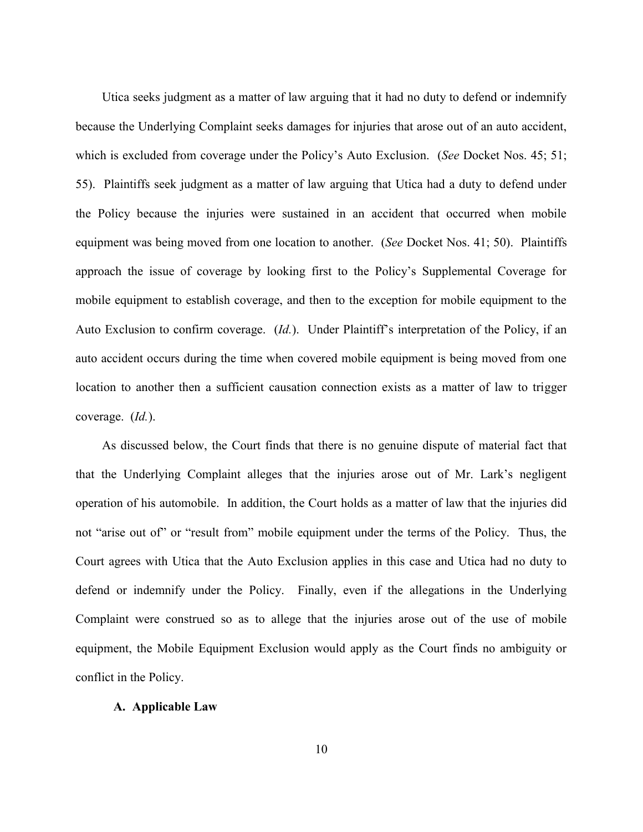Utica seeks judgment as a matter of law arguing that it had no duty to defend or indemnify because the Underlying Complaint seeks damages for injuries that arose out of an auto accident, which is excluded from coverage under the Policy's Auto Exclusion. (*See* Docket Nos. 45; 51; 55). Plaintiffs seek judgment as a matter of law arguing that Utica had a duty to defend under the Policy because the injuries were sustained in an accident that occurred when mobile equipment was being moved from one location to another. (*See* Docket Nos. 41; 50). Plaintiffs approach the issue of coverage by looking first to the Policy's Supplemental Coverage for mobile equipment to establish coverage, and then to the exception for mobile equipment to the Auto Exclusion to confirm coverage. (*Id.*). Under Plaintiff's interpretation of the Policy, if an auto accident occurs during the time when covered mobile equipment is being moved from one location to another then a sufficient causation connection exists as a matter of law to trigger coverage. (*Id.*).

As discussed below, the Court finds that there is no genuine dispute of material fact that that the Underlying Complaint alleges that the injuries arose out of Mr. Lark's negligent operation of his automobile. In addition, the Court holds as a matter of law that the injuries did not "arise out of" or "result from" mobile equipment under the terms of the Policy. Thus, the Court agrees with Utica that the Auto Exclusion applies in this case and Utica had no duty to defend or indemnify under the Policy. Finally, even if the allegations in the Underlying Complaint were construed so as to allege that the injuries arose out of the use of mobile equipment, the Mobile Equipment Exclusion would apply as the Court finds no ambiguity or conflict in the Policy.

# **A. Applicable Law**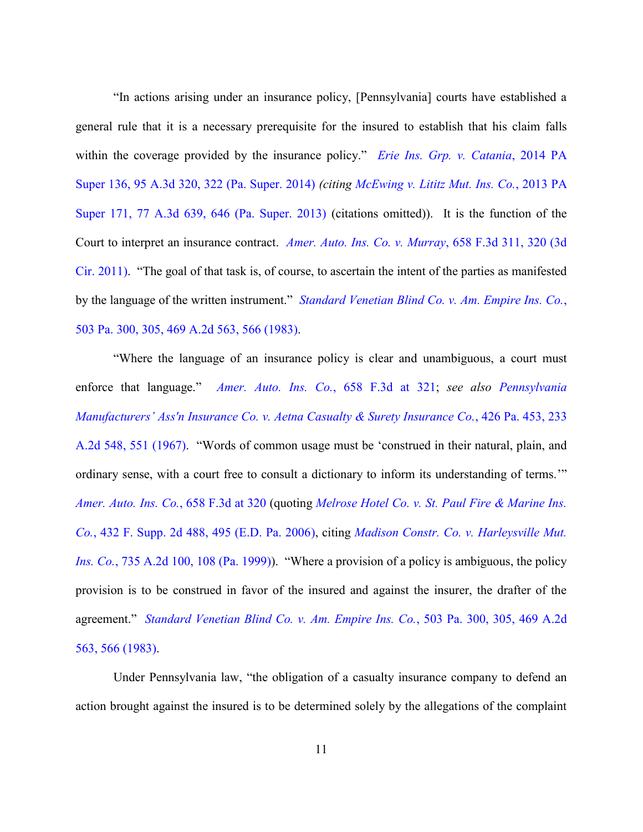"In actions arising under an insurance policy, [Pennsylvania] courts have established a general rule that it is a necessary prerequisite for the insured to establish that his claim falls within the coverage provided by the insurance policy." *[Erie Ins. Grp. v. Catania](https://www.westlaw.com/Document/I6a425656010a11e4b4bafa136b480ad2/View/FullText.html?transitionType=Default&contextData=(sc.Default)&VR=3.0&RS=da3.0&fragmentIdentifier=co_pp_sp_7691_322)*, 2014 PA [Super 136, 95 A.3d 320, 322 \(Pa. Super. 2014\)](https://www.westlaw.com/Document/I6a425656010a11e4b4bafa136b480ad2/View/FullText.html?transitionType=Default&contextData=(sc.Default)&VR=3.0&RS=da3.0&fragmentIdentifier=co_pp_sp_7691_322) *(citing [McEwing v. Lititz Mut. Ins. Co.](https://www.westlaw.com/Document/I0539d28ce81c11e2981fa20c4f198a69/View/FullText.html?transitionType=Default&contextData=(sc.Default)&VR=3.0&RS=da3.0&fragmentIdentifier=co_pp_sp_7691_646)*, 2013 PA [Super 171, 77 A.3d 639, 646 \(Pa. Super. 2013\)](https://www.westlaw.com/Document/I0539d28ce81c11e2981fa20c4f198a69/View/FullText.html?transitionType=Default&contextData=(sc.Default)&VR=3.0&RS=da3.0&fragmentIdentifier=co_pp_sp_7691_646) (citations omitted)). It is the function of the Court to interpret an insurance contract. *[Amer. Auto. Ins. Co. v. Murray](https://www.westlaw.com/Document/I220a1784dad911e08b448cf533780ea2/View/FullText.html?transitionType=Default&contextData=(sc.Default)&VR=3.0&RS=da3.0&fragmentIdentifier=co_pp_sp_506_320)*, 658 F.3d 311, 320 (3d [Cir. 2011\)](https://www.westlaw.com/Document/I220a1784dad911e08b448cf533780ea2/View/FullText.html?transitionType=Default&contextData=(sc.Default)&VR=3.0&RS=da3.0&fragmentIdentifier=co_pp_sp_506_320). "The goal of that task is, of course, to ascertain the intent of the parties as manifested by the language of the written instrument." *[Standard Venetian Blind Co. v. Am. Empire Ins. Co.](https://www.westlaw.com/Document/I69c5a8c0348011d9abe5ec754599669c/View/FullText.html?transitionType=Default&contextData=(sc.Default)&VR=3.0&RS=da3.0&fragmentIdentifier=co_pp_sp_651_305)*, [503 Pa. 300, 305, 469 A.2d 563, 566 \(1983\).](https://www.westlaw.com/Document/I69c5a8c0348011d9abe5ec754599669c/View/FullText.html?transitionType=Default&contextData=(sc.Default)&VR=3.0&RS=da3.0&fragmentIdentifier=co_pp_sp_651_305)

"Where the language of an insurance policy is clear and unambiguous, a court must enforce that language." *[Amer. Auto. Ins. Co.](https://www.westlaw.com/Document/I220a1784dad911e08b448cf533780ea2/View/FullText.html?transitionType=Default&contextData=(sc.Default)&VR=3.0&RS=da3.0&fragmentIdentifier=co_pp_sp_506_321)*, 658 F.3d at 321; *see also [Pennsylvania](https://www.westlaw.com/Document/If5bca89b33fb11d986b0aa9c82c164c0/View/FullText.html?transitionType=Default&contextData=(sc.Default)&VR=3.0&RS=da3.0&fragmentIdentifier=co_pp_sp_162_551)  [Manufacturers' Ass'n Insurance Co. v. Aetna Casualty & Surety Insurance Co.](https://www.westlaw.com/Document/If5bca89b33fb11d986b0aa9c82c164c0/View/FullText.html?transitionType=Default&contextData=(sc.Default)&VR=3.0&RS=da3.0&fragmentIdentifier=co_pp_sp_162_551)*, 426 Pa. 453, 233 [A.2d 548, 551 \(1967\).](https://www.westlaw.com/Document/If5bca89b33fb11d986b0aa9c82c164c0/View/FullText.html?transitionType=Default&contextData=(sc.Default)&VR=3.0&RS=da3.0&fragmentIdentifier=co_pp_sp_162_551) "Words of common usage must be 'construed in their natural, plain, and ordinary sense, with a court free to consult a dictionary to inform its understanding of terms.'" *[Amer. Auto. Ins. Co.](https://www.westlaw.com/Document/I220a1784dad911e08b448cf533780ea2/View/FullText.html?transitionType=Default&contextData=(sc.Default)&VR=3.0&RS=da3.0&fragmentIdentifier=co_pp_sp_506_320)*, 658 F.3d at 320 (quoting *[Melrose Hotel Co. v. St. Paul Fire & Marine Ins.](https://www.westlaw.com/Document/Ide1d356fd07811daa514dfb5bc366636/View/FullText.html?transitionType=Default&contextData=(sc.Default)&VR=3.0&RS=da3.0&fragmentIdentifier=co_pp_sp_4637_495)  Co.*[, 432 F. Supp. 2d 488, 495 \(E.D. Pa. 2006\),](https://www.westlaw.com/Document/Ide1d356fd07811daa514dfb5bc366636/View/FullText.html?transitionType=Default&contextData=(sc.Default)&VR=3.0&RS=da3.0&fragmentIdentifier=co_pp_sp_4637_495) citing *[Madison Constr. Co. v. Harleysville Mut.](https://www.westlaw.com/Document/Id1036ac7372511d986b0aa9c82c164c0/View/FullText.html?transitionType=Default&contextData=(sc.Default)&VR=3.0&RS=da3.0&fragmentIdentifier=co_pp_sp_162_108)  Ins. Co.*[, 735 A.2d 100, 108 \(Pa. 1999\)\)](https://www.westlaw.com/Document/Id1036ac7372511d986b0aa9c82c164c0/View/FullText.html?transitionType=Default&contextData=(sc.Default)&VR=3.0&RS=da3.0&fragmentIdentifier=co_pp_sp_162_108). "Where a provision of a policy is ambiguous, the policy provision is to be construed in favor of the insured and against the insurer, the drafter of the agreement." *[Standard Venetian Blind Co. v. Am. Empire Ins. Co.](https://www.westlaw.com/Document/I69c5a8c0348011d9abe5ec754599669c/View/FullText.html?transitionType=Default&contextData=(sc.Default)&VR=3.0&RS=da3.0&fragmentIdentifier=co_pp_sp_651_305)*, 503 Pa. 300, 305, 469 A.2d [563, 566 \(1983\).](https://www.westlaw.com/Document/I69c5a8c0348011d9abe5ec754599669c/View/FullText.html?transitionType=Default&contextData=(sc.Default)&VR=3.0&RS=da3.0&fragmentIdentifier=co_pp_sp_651_305)

Under Pennsylvania law, "the obligation of a casualty insurance company to defend an action brought against the insured is to be determined solely by the allegations of the complaint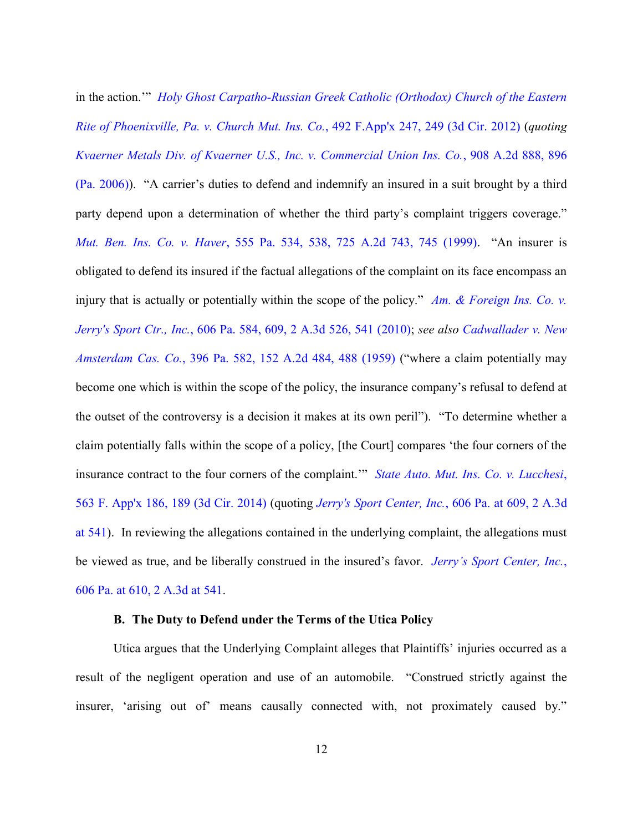in the action.'" *[Holy Ghost Carpatho-Russian Greek Catholic \(Orthodox\) Church of the Eastern](https://www.westlaw.com/Document/I83e0b16cda5d11e191598982704508d1/View/FullText.html?transitionType=Default&contextData=(sc.Default)&VR=3.0&RS=da3.0&fragmentIdentifier=co_pp_sp_6538_249)  [Rite of Phoenixville, Pa. v. Church Mut. Ins. Co.](https://www.westlaw.com/Document/I83e0b16cda5d11e191598982704508d1/View/FullText.html?transitionType=Default&contextData=(sc.Default)&VR=3.0&RS=da3.0&fragmentIdentifier=co_pp_sp_6538_249)*, 492 F.App'x 247, 249 (3d Cir. 2012) (*quoting [Kvaerner Metals Div. of Kvaerner U.S., Inc. v. Commercial Union Ins. Co.](https://www.westlaw.com/Document/I6f77cace64ed11dbab489133ffb377e0/View/FullText.html?transitionType=Default&contextData=(sc.Default)&VR=3.0&RS=da3.0&fragmentIdentifier=co_pp_sp_162_896)*, 908 A.2d 888, 896 [\(Pa. 2006\)](https://www.westlaw.com/Document/I6f77cace64ed11dbab489133ffb377e0/View/FullText.html?transitionType=Default&contextData=(sc.Default)&VR=3.0&RS=da3.0&fragmentIdentifier=co_pp_sp_162_896)). "A carrier's duties to defend and indemnify an insured in a suit brought by a third party depend upon a determination of whether the third party's complaint triggers coverage." *Mut. Ben. Ins. Co. v. Haver*[, 555 Pa. 534, 538, 725 A.2d 743, 745 \(1999\)](https://www.westlaw.com/Document/Id12de4e6371f11d986b0aa9c82c164c0/View/FullText.html?transitionType=Default&contextData=(sc.Default)&VR=3.0&RS=da3.0&fragmentIdentifier=co_pp_sp_651_538). "An insurer is obligated to defend its insured if the factual allegations of the complaint on its face encompass an injury that is actually or potentially within the scope of the policy." *[Am. & Foreign Ins. Co. v.](https://www.westlaw.com/Document/I1022da97aa4111df952a80d2993fba83/View/FullText.html?transitionType=Default&contextData=(sc.Default)&VR=3.0&RS=da3.0&fragmentIdentifier=co_pp_sp_651_609)  Jerry's Sport Ctr., Inc.*[, 606 Pa. 584, 609, 2 A.3d 526, 541 \(2010\);](https://www.westlaw.com/Document/I1022da97aa4111df952a80d2993fba83/View/FullText.html?transitionType=Default&contextData=(sc.Default)&VR=3.0&RS=da3.0&fragmentIdentifier=co_pp_sp_651_609) *see also [Cadwallader v. New](https://www.westlaw.com/Document/Idcb7ab7033d711d986b0aa9c82c164c0/View/FullText.html?transitionType=Default&contextData=(sc.Default)&VR=3.0&RS=da3.0&fragmentIdentifier=co_pp_sp_162_488)  Amsterdam Cas. Co.*[, 396 Pa. 582, 152 A.2d 484, 488 \(1959\)](https://www.westlaw.com/Document/Idcb7ab7033d711d986b0aa9c82c164c0/View/FullText.html?transitionType=Default&contextData=(sc.Default)&VR=3.0&RS=da3.0&fragmentIdentifier=co_pp_sp_162_488) ("where a claim potentially may become one which is within the scope of the policy, the insurance company's refusal to defend at the outset of the controversy is a decision it makes at its own peril"). "To determine whether a claim potentially falls within the scope of a policy, [the Court] compares 'the four corners of the insurance contract to the four corners of the complaint.'" *[State Auto. Mut. Ins. Co. v. Lucchesi](https://www.westlaw.com/Document/Iedd41bedc18c11e381b8b0e9e015e69e/View/FullText.html?transitionType=Default&contextData=(sc.Default)&VR=3.0&RS=da3.0&fragmentIdentifier=co_pp_sp_6538_189)*, [563 F. App'x 186, 189 \(3d](https://www.westlaw.com/Document/Iedd41bedc18c11e381b8b0e9e015e69e/View/FullText.html?transitionType=Default&contextData=(sc.Default)&VR=3.0&RS=da3.0&fragmentIdentifier=co_pp_sp_6538_189) Cir. 2014) (quoting *[Jerry's Sport Center, Inc.](https://www.westlaw.com/Document/I1022da97aa4111df952a80d2993fba83/View/FullText.html?transitionType=Default&contextData=(sc.Default)&VR=3.0&RS=da3.0&fragmentIdentifier=co_pp_sp_651_609)*, 606 Pa. at 609, 2 A.3d at [541\)](https://www.westlaw.com/Document/I1022da97aa4111df952a80d2993fba83/View/FullText.html?transitionType=Default&contextData=(sc.Default)&VR=3.0&RS=da3.0&fragmentIdentifier=co_pp_sp_651_609). In reviewing the allegations contained in the underlying complaint, the allegations must be viewed as true, and be liberally construed in the insured's favor. *[Jerry's Sport Center, Inc.](https://www.westlaw.com/Document/I1022da97aa4111df952a80d2993fba83/View/FullText.html?transitionType=Default&contextData=(sc.Default)&VR=3.0&RS=da3.0&fragmentIdentifier=co_pp_sp_651_610)*, [606 Pa. at 610, 2 A.3d at 541.](https://www.westlaw.com/Document/I1022da97aa4111df952a80d2993fba83/View/FullText.html?transitionType=Default&contextData=(sc.Default)&VR=3.0&RS=da3.0&fragmentIdentifier=co_pp_sp_651_610)

# **B. The Duty to Defend under the Terms of the Utica Policy**

Utica argues that the Underlying Complaint alleges that Plaintiffs' injuries occurred as a result of the negligent operation and use of an automobile. "Construed strictly against the insurer, 'arising out of' means causally connected with, not proximately caused by."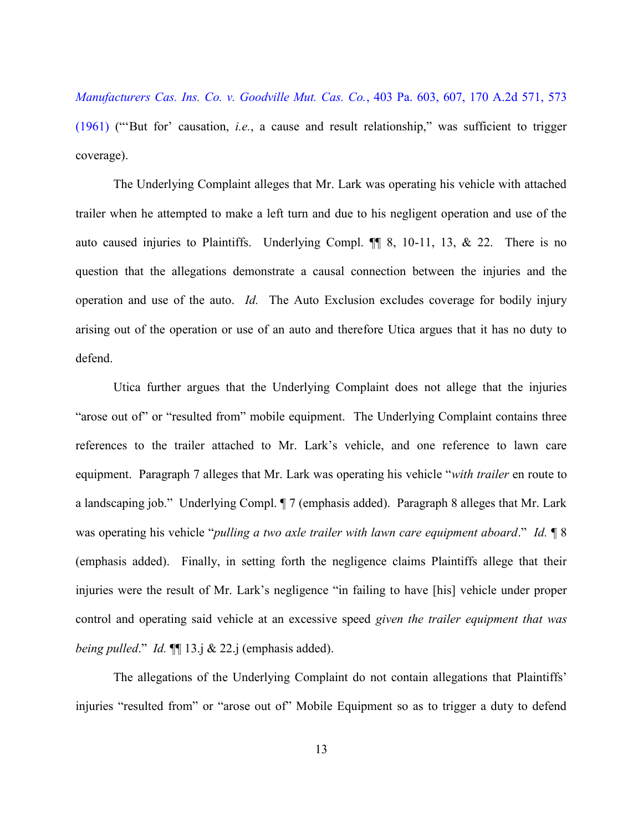*[Manufacturers Cas. Ins. Co. v. Goodville Mut. Cas. Co.](https://www.westlaw.com/Document/If7e5dae133df11d98b61a35269fc5f88/View/FullText.html?transitionType=Default&contextData=(sc.Default)&VR=3.0&RS=da3.0&fragmentIdentifier=co_pp_sp_651_607)*, 403 Pa. 603, 607, 170 A.2d 571, 573 [\(1961\)](https://www.westlaw.com/Document/If7e5dae133df11d98b61a35269fc5f88/View/FullText.html?transitionType=Default&contextData=(sc.Default)&VR=3.0&RS=da3.0&fragmentIdentifier=co_pp_sp_651_607) ("'But for' causation, *i.e.*, a cause and result relationship," was sufficient to trigger coverage).

The Underlying Complaint alleges that Mr. Lark was operating his vehicle with attached trailer when he attempted to make a left turn and due to his negligent operation and use of the auto caused injuries to Plaintiffs. Underlying Compl. ¶¶ 8, 10-11, 13, & 22. There is no question that the allegations demonstrate a causal connection between the injuries and the operation and use of the auto. *Id.* The Auto Exclusion excludes coverage for bodily injury arising out of the operation or use of an auto and therefore Utica argues that it has no duty to defend.

Utica further argues that the Underlying Complaint does not allege that the injuries "arose out of" or "resulted from" mobile equipment. The Underlying Complaint contains three references to the trailer attached to Mr. Lark's vehicle, and one reference to lawn care equipment. Paragraph 7 alleges that Mr. Lark was operating his vehicle "*with trailer* en route to a landscaping job." Underlying Compl. ¶ 7 (emphasis added). Paragraph 8 alleges that Mr. Lark was operating his vehicle "*pulling a two axle trailer with lawn care equipment aboard*." *Id.* ¶ 8 (emphasis added). Finally, in setting forth the negligence claims Plaintiffs allege that their injuries were the result of Mr. Lark's negligence "in failing to have [his] vehicle under proper control and operating said vehicle at an excessive speed *given the trailer equipment that was being pulled*." *Id.* ¶¶ 13.j & 22.j (emphasis added).

The allegations of the Underlying Complaint do not contain allegations that Plaintiffs' injuries "resulted from" or "arose out of" Mobile Equipment so as to trigger a duty to defend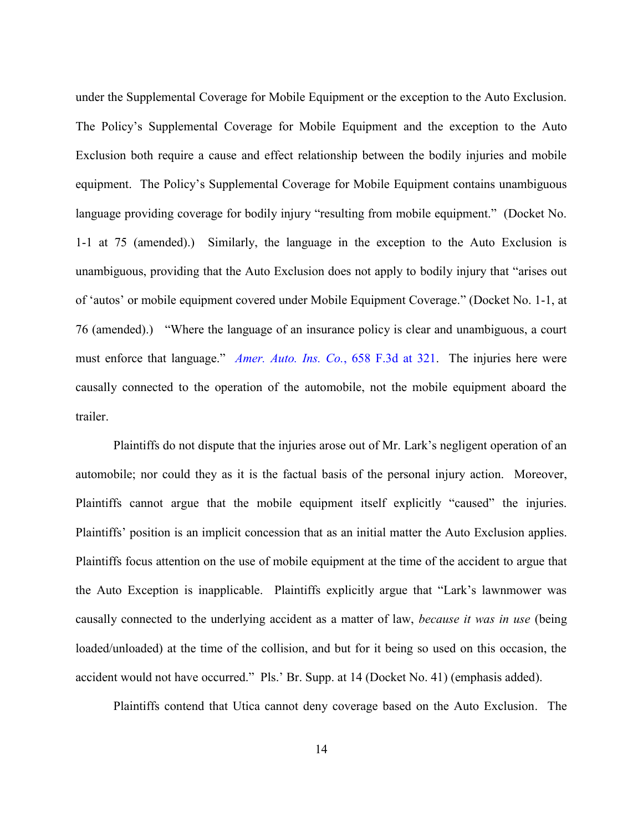under the Supplemental Coverage for Mobile Equipment or the exception to the Auto Exclusion. The Policy's Supplemental Coverage for Mobile Equipment and the exception to the Auto Exclusion both require a cause and effect relationship between the bodily injuries and mobile equipment. The Policy's Supplemental Coverage for Mobile Equipment contains unambiguous language providing coverage for bodily injury "resulting from mobile equipment." (Docket No. 1-1 at 75 (amended).) Similarly, the language in the exception to the Auto Exclusion is unambiguous, providing that the Auto Exclusion does not apply to bodily injury that "arises out of 'autos' or mobile equipment covered under Mobile Equipment Coverage." (Docket No. 1-1, at 76 (amended).) "Where the language of an insurance policy is clear and unambiguous, a court must enforce that language." *[Amer. Auto. Ins. Co.](https://www.westlaw.com/Document/I220a1784dad911e08b448cf533780ea2/View/FullText.html?transitionType=Default&contextData=(sc.Default)&VR=3.0&RS=da3.0&fragmentIdentifier=co_pp_sp_506_321)*, 658 F.3d at 321. The injuries here were causally connected to the operation of the automobile, not the mobile equipment aboard the trailer.

Plaintiffs do not dispute that the injuries arose out of Mr. Lark's negligent operation of an automobile; nor could they as it is the factual basis of the personal injury action. Moreover, Plaintiffs cannot argue that the mobile equipment itself explicitly "caused" the injuries. Plaintiffs' position is an implicit concession that as an initial matter the Auto Exclusion applies. Plaintiffs focus attention on the use of mobile equipment at the time of the accident to argue that the Auto Exception is inapplicable. Plaintiffs explicitly argue that "Lark's lawnmower was causally connected to the underlying accident as a matter of law, *because it was in use* (being loaded/unloaded) at the time of the collision, and but for it being so used on this occasion, the accident would not have occurred." Pls.' Br. Supp. at 14 (Docket No. 41) (emphasis added).

Plaintiffs contend that Utica cannot deny coverage based on the Auto Exclusion. The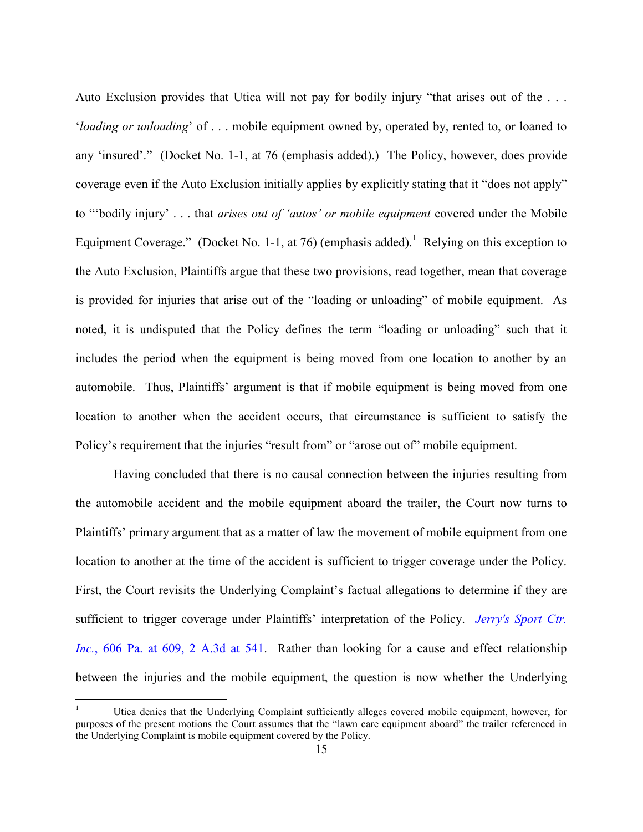Auto Exclusion provides that Utica will not pay for bodily injury "that arises out of the ... '*loading or unloading*' of . . . mobile equipment owned by, operated by, rented to, or loaned to any 'insured'." (Docket No. 1-1, at 76 (emphasis added).) The Policy, however, does provide coverage even if the Auto Exclusion initially applies by explicitly stating that it "does not apply" to "'bodily injury' . . . that *arises out of 'autos' or mobile equipment* covered under the Mobile Equipment Coverage." (Docket No. 1-1, at 76) (emphasis added).<sup>1</sup> Relying on this exception to the Auto Exclusion, Plaintiffs argue that these two provisions, read together, mean that coverage is provided for injuries that arise out of the "loading or unloading" of mobile equipment. As noted, it is undisputed that the Policy defines the term "loading or unloading" such that it includes the period when the equipment is being moved from one location to another by an automobile. Thus, Plaintiffs' argument is that if mobile equipment is being moved from one location to another when the accident occurs, that circumstance is sufficient to satisfy the Policy's requirement that the injuries "result from" or "arose out of" mobile equipment.

Having concluded that there is no causal connection between the injuries resulting from the automobile accident and the mobile equipment aboard the trailer, the Court now turns to Plaintiffs' primary argument that as a matter of law the movement of mobile equipment from one location to another at the time of the accident is sufficient to trigger coverage under the Policy. First, the Court revisits the Underlying Complaint's factual allegations to determine if they are sufficient to trigger coverage under Plaintiffs' interpretation of the Policy. *[Jerry's Sport Ctr.](https://www.westlaw.com/Document/I1022da97aa4111df952a80d2993fba83/View/FullText.html?transitionType=Default&contextData=(sc.Default)&VR=3.0&RS=da3.0&fragmentIdentifier=co_pp_sp_651_609)  Inc.*[, 606 Pa. at 609, 2 A.3d at 541.](https://www.westlaw.com/Document/I1022da97aa4111df952a80d2993fba83/View/FullText.html?transitionType=Default&contextData=(sc.Default)&VR=3.0&RS=da3.0&fragmentIdentifier=co_pp_sp_651_609) Rather than looking for a cause and effect relationship between the injuries and the mobile equipment, the question is now whether the Underlying

 $\overline{a}$ 

<sup>1</sup> Utica denies that the Underlying Complaint sufficiently alleges covered mobile equipment, however, for purposes of the present motions the Court assumes that the "lawn care equipment aboard" the trailer referenced in the Underlying Complaint is mobile equipment covered by the Policy.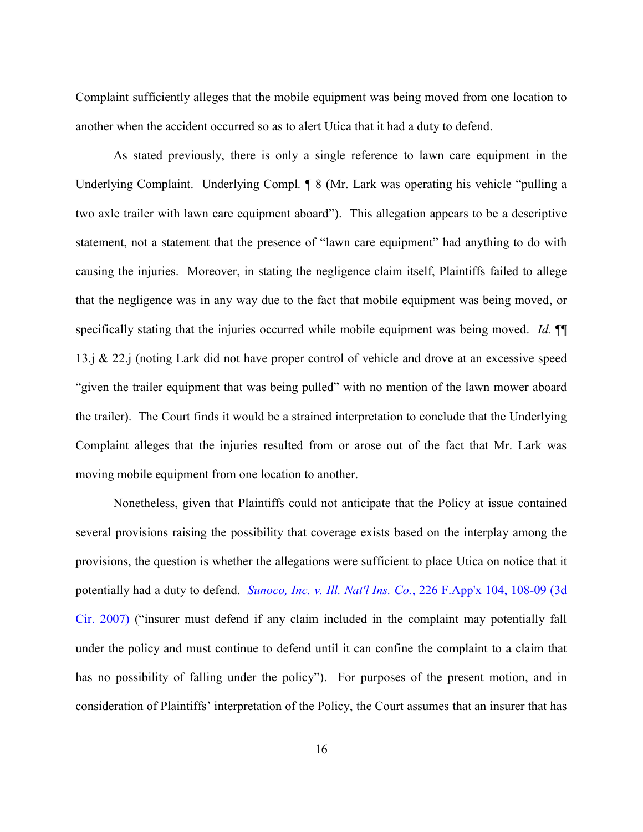Complaint sufficiently alleges that the mobile equipment was being moved from one location to another when the accident occurred so as to alert Utica that it had a duty to defend.

As stated previously, there is only a single reference to lawn care equipment in the Underlying Complaint. Underlying Compl*.* ¶ 8 (Mr. Lark was operating his vehicle "pulling a two axle trailer with lawn care equipment aboard"). This allegation appears to be a descriptive statement, not a statement that the presence of "lawn care equipment" had anything to do with causing the injuries. Moreover, in stating the negligence claim itself, Plaintiffs failed to allege that the negligence was in any way due to the fact that mobile equipment was being moved, or specifically stating that the injuries occurred while mobile equipment was being moved. *Id.* ¶¶ 13.j & 22.j (noting Lark did not have proper control of vehicle and drove at an excessive speed "given the trailer equipment that was being pulled" with no mention of the lawn mower aboard the trailer). The Court finds it would be a strained interpretation to conclude that the Underlying Complaint alleges that the injuries resulted from or arose out of the fact that Mr. Lark was moving mobile equipment from one location to another.

Nonetheless, given that Plaintiffs could not anticipate that the Policy at issue contained several provisions raising the possibility that coverage exists based on the interplay among the provisions, the question is whether the allegations were sufficient to place Utica on notice that it potentially had a duty to defend. *[Sunoco, Inc. v. Ill. Nat'l Ins. Co.](https://www.westlaw.com/Document/Ifbf4fa91b38511dbab489133ffb377e0/View/FullText.html?transitionType=Default&contextData=(sc.Default)&VR=3.0&RS=da3.0&fragmentIdentifier=co_pp_sp_6538_108)*, 226 F.App'x 104, 108-09 (3d [Cir. 2007\)](https://www.westlaw.com/Document/Ifbf4fa91b38511dbab489133ffb377e0/View/FullText.html?transitionType=Default&contextData=(sc.Default)&VR=3.0&RS=da3.0&fragmentIdentifier=co_pp_sp_6538_108) ("insurer must defend if any claim included in the complaint may potentially fall under the policy and must continue to defend until it can confine the complaint to a claim that has no possibility of falling under the policy"). For purposes of the present motion, and in consideration of Plaintiffs' interpretation of the Policy, the Court assumes that an insurer that has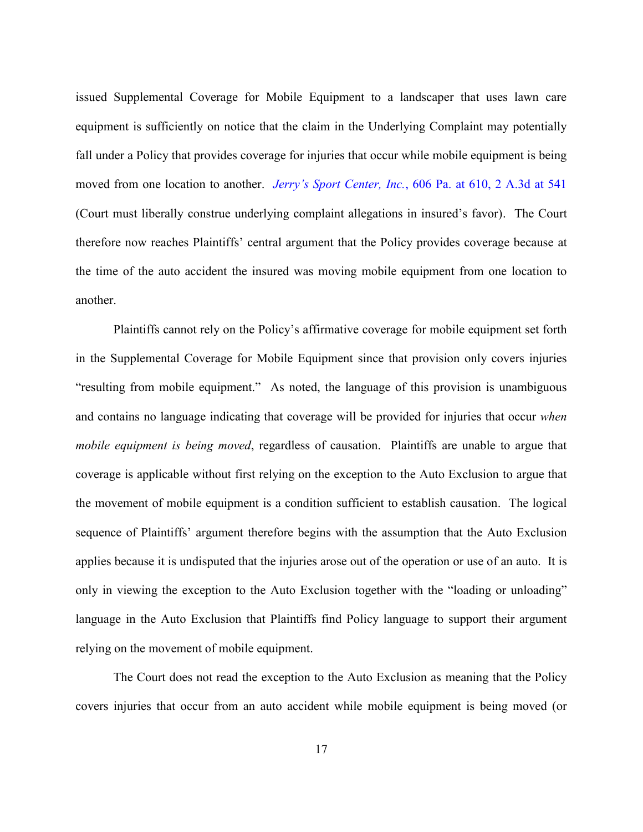issued Supplemental Coverage for Mobile Equipment to a landscaper that uses lawn care equipment is sufficiently on notice that the claim in the Underlying Complaint may potentially fall under a Policy that provides coverage for injuries that occur while mobile equipment is being moved from one location to another. *Jerry's Sport Center, Inc.*[, 606 Pa. at 610, 2 A.3d at 541](https://www.westlaw.com/Document/I1022da97aa4111df952a80d2993fba83/View/FullText.html?transitionType=Default&contextData=(sc.Default)&VR=3.0&RS=da3.0&fragmentIdentifier=co_pp_sp_651_610) (Court must liberally construe underlying complaint allegations in insured's favor). The Court therefore now reaches Plaintiffs' central argument that the Policy provides coverage because at the time of the auto accident the insured was moving mobile equipment from one location to another.

Plaintiffs cannot rely on the Policy's affirmative coverage for mobile equipment set forth in the Supplemental Coverage for Mobile Equipment since that provision only covers injuries "resulting from mobile equipment." As noted, the language of this provision is unambiguous and contains no language indicating that coverage will be provided for injuries that occur *when mobile equipment is being moved*, regardless of causation. Plaintiffs are unable to argue that coverage is applicable without first relying on the exception to the Auto Exclusion to argue that the movement of mobile equipment is a condition sufficient to establish causation. The logical sequence of Plaintiffs' argument therefore begins with the assumption that the Auto Exclusion applies because it is undisputed that the injuries arose out of the operation or use of an auto. It is only in viewing the exception to the Auto Exclusion together with the "loading or unloading" language in the Auto Exclusion that Plaintiffs find Policy language to support their argument relying on the movement of mobile equipment.

The Court does not read the exception to the Auto Exclusion as meaning that the Policy covers injuries that occur from an auto accident while mobile equipment is being moved (or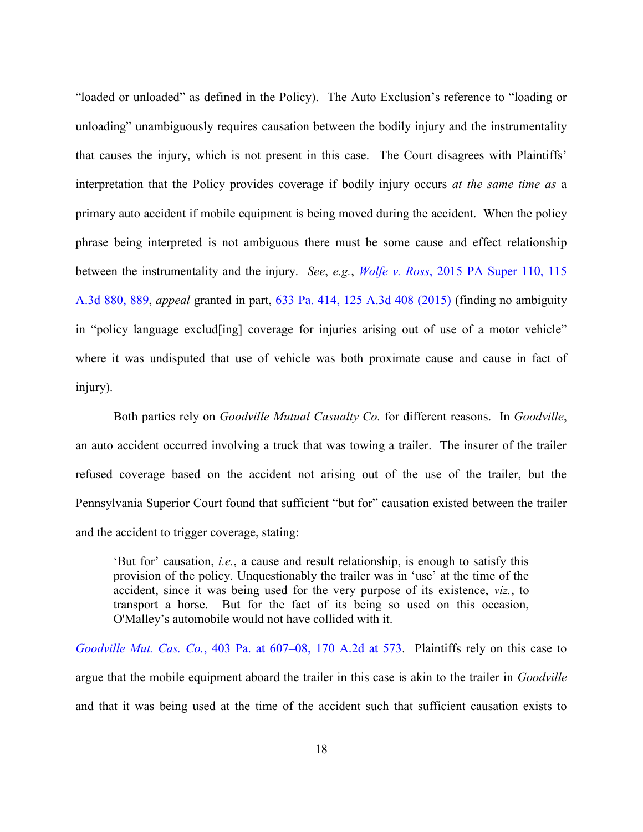"loaded or unloaded" as defined in the Policy). The Auto Exclusion's reference to "loading or unloading" unambiguously requires causation between the bodily injury and the instrumentality that causes the injury, which is not present in this case. The Court disagrees with Plaintiffs' interpretation that the Policy provides coverage if bodily injury occurs *at the same time as* a primary auto accident if mobile equipment is being moved during the accident. When the policy phrase being interpreted is not ambiguous there must be some cause and effect relationship between the instrumentality and the injury. *See*, *e.g.*, *Wolfe v. Ross*[, 2015 PA Super 110, 115](https://www.westlaw.com/Document/I3c0c425bf7b311e4a807ad48145ed9f1/View/FullText.html?transitionType=Default&contextData=(sc.Default)&VR=3.0&RS=da3.0&fragmentIdentifier=co_pp_sp_7691_889)  [A.3d 880, 889,](https://www.westlaw.com/Document/I3c0c425bf7b311e4a807ad48145ed9f1/View/FullText.html?transitionType=Default&contextData=(sc.Default)&VR=3.0&RS=da3.0&fragmentIdentifier=co_pp_sp_7691_889) *appeal* granted in part, [633 Pa. 414, 125 A.3d 408 \(2015\)](https://www.westlaw.com/Link/Document/FullText?cite=633PA414&VR=3.0&RS=da3.0) (finding no ambiguity in "policy language exclud[ing] coverage for injuries arising out of use of a motor vehicle" where it was undisputed that use of vehicle was both proximate cause and cause in fact of injury).

Both parties rely on *Goodville Mutual Casualty Co.* for different reasons. In *Goodville*, an auto accident occurred involving a truck that was towing a trailer. The insurer of the trailer refused coverage based on the accident not arising out of the use of the trailer, but the Pennsylvania Superior Court found that sufficient "but for" causation existed between the trailer and the accident to trigger coverage, stating:

'But for' causation, *i.e.*, a cause and result relationship, is enough to satisfy this provision of the policy. Unquestionably the trailer was in 'use' at the time of the accident, since it was being used for the very purpose of its existence, *viz.*, to transport a horse. But for the fact of its being so used on this occasion, O'Malley's automobile would not have collided with it.

*[Goodville Mut. Cas. Co.](https://www.westlaw.com/Document/If7e5dae133df11d98b61a35269fc5f88/View/FullText.html?transitionType=Default&contextData=(sc.Default)&VR=3.0&RS=da3.0&fragmentIdentifier=co_pp_sp_651_607%e2%80%9308)*, 403 Pa. at 607–08, 170 A.2d at 573. Plaintiffs rely on this case to argue that the mobile equipment aboard the trailer in this case is akin to the trailer in *Goodville* and that it was being used at the time of the accident such that sufficient causation exists to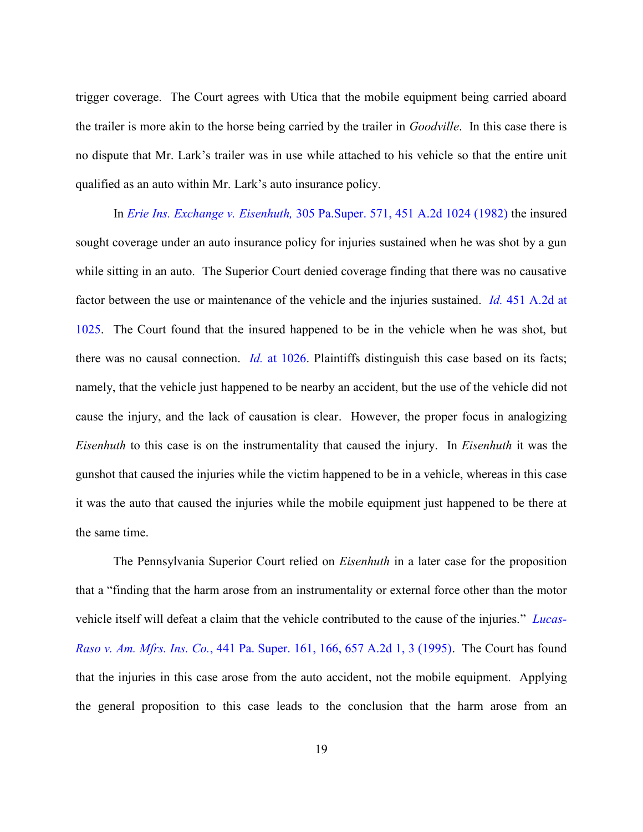trigger coverage. The Court agrees with Utica that the mobile equipment being carried aboard the trailer is more akin to the horse being carried by the trailer in *Goodville*. In this case there is no dispute that Mr. Lark's trailer was in use while attached to his vehicle so that the entire unit qualified as an auto within Mr. Lark's auto insurance policy.

In *Erie Ins. Exchange v. Eisenhuth,* [305 Pa.Super. 571, 451 A.2d 1024 \(1982\)](https://www.westlaw.com/Document/I03376b72347211d9abe5ec754599669c/View/FullText.html?transitionType=Default&contextData=(sc.Default)&VR=3.0&RS=da3.0) the insured sought coverage under an auto insurance policy for injuries sustained when he was shot by a gun while sitting in an auto. The Superior Court denied coverage finding that there was no causative factor between the use or maintenance of the vehicle and the injuries sustained. *[Id.](https://www.westlaw.com/Document/I03376b72347211d9abe5ec754599669c/View/FullText.html?transitionType=Default&contextData=(sc.Default)&VR=3.0&RS=da3.0)* [451 A.2d at](https://www.westlaw.com/Document/I03376b72347211d9abe5ec754599669c/View/FullText.html?transitionType=Default&contextData=(sc.Default)&VR=3.0&RS=da3.0&fragmentIdentifier=co_pp_sp_162_1025)  [1025.](https://www.westlaw.com/Document/I03376b72347211d9abe5ec754599669c/View/FullText.html?transitionType=Default&contextData=(sc.Default)&VR=3.0&RS=da3.0&fragmentIdentifier=co_pp_sp_162_1025) The Court found that the insured happened to be in the vehicle when he was shot, but there was no causal connection. *Id.* [at 1026.](https://www.westlaw.com/Document/I03376b72347211d9abe5ec754599669c/View/FullText.html?transitionType=Default&contextData=(sc.Default)&VR=3.0&RS=da3.0&fragmentIdentifier=co_pp_sp_162_1026) Plaintiffs distinguish this case based on its facts; namely, that the vehicle just happened to be nearby an accident, but the use of the vehicle did not cause the injury, and the lack of causation is clear. However, the proper focus in analogizing *Eisenhuth* to this case is on the instrumentality that caused the injury. In *Eisenhuth* it was the gunshot that caused the injuries while the victim happened to be in a vehicle, whereas in this case it was the auto that caused the injuries while the mobile equipment just happened to be there at the same time.

The Pennsylvania Superior Court relied on *Eisenhuth* in a later case for the proposition that a "finding that the harm arose from an instrumentality or external force other than the motor vehicle itself will defeat a claim that the vehicle contributed to the cause of the injuries." *[Lucas-](https://www.westlaw.com/Document/I6d04f438354f11d986b0aa9c82c164c0/View/FullText.html?transitionType=Default&contextData=(sc.Default)&VR=3.0&RS=da3.0&fragmentIdentifier=co_pp_sp_659_166)Raso v. Am. Mfrs. Ins. Co.*[, 441 Pa. Super. 161, 166, 657 A.2d 1, 3 \(1995\).](https://www.westlaw.com/Document/I6d04f438354f11d986b0aa9c82c164c0/View/FullText.html?transitionType=Default&contextData=(sc.Default)&VR=3.0&RS=da3.0&fragmentIdentifier=co_pp_sp_659_166) The Court has found that the injuries in this case arose from the auto accident, not the mobile equipment. Applying the general proposition to this case leads to the conclusion that the harm arose from an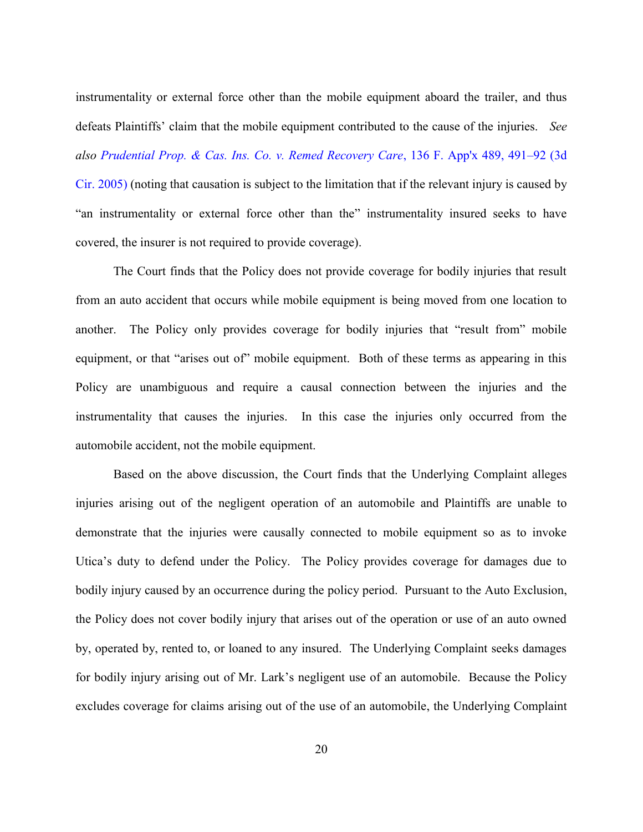instrumentality or external force other than the mobile equipment aboard the trailer, and thus defeats Plaintiffs' claim that the mobile equipment contributed to the cause of the injuries. *See also [Prudential Prop. & Cas. Ins. Co. v. Remed Recovery Care](https://www.westlaw.com/Document/Id4d2d4e0dc0e11d983e7e9deff98dc6f/View/FullText.html?transitionType=Default&contextData=(sc.Default)&VR=3.0&RS=da3.0&fragmentIdentifier=co_pp_sp_6538_491%e2%80%9392)*, 136 F. App'x 489, 491–92 (3d [Cir. 2005\)](https://www.westlaw.com/Document/Id4d2d4e0dc0e11d983e7e9deff98dc6f/View/FullText.html?transitionType=Default&contextData=(sc.Default)&VR=3.0&RS=da3.0&fragmentIdentifier=co_pp_sp_6538_491%e2%80%9392) (noting that causation is subject to the limitation that if the relevant injury is caused by "an instrumentality or external force other than the" instrumentality insured seeks to have covered, the insurer is not required to provide coverage).

The Court finds that the Policy does not provide coverage for bodily injuries that result from an auto accident that occurs while mobile equipment is being moved from one location to another. The Policy only provides coverage for bodily injuries that "result from" mobile equipment, or that "arises out of" mobile equipment. Both of these terms as appearing in this Policy are unambiguous and require a causal connection between the injuries and the instrumentality that causes the injuries. In this case the injuries only occurred from the automobile accident, not the mobile equipment.

Based on the above discussion, the Court finds that the Underlying Complaint alleges injuries arising out of the negligent operation of an automobile and Plaintiffs are unable to demonstrate that the injuries were causally connected to mobile equipment so as to invoke Utica's duty to defend under the Policy. The Policy provides coverage for damages due to bodily injury caused by an occurrence during the policy period. Pursuant to the Auto Exclusion, the Policy does not cover bodily injury that arises out of the operation or use of an auto owned by, operated by, rented to, or loaned to any insured. The Underlying Complaint seeks damages for bodily injury arising out of Mr. Lark's negligent use of an automobile. Because the Policy excludes coverage for claims arising out of the use of an automobile, the Underlying Complaint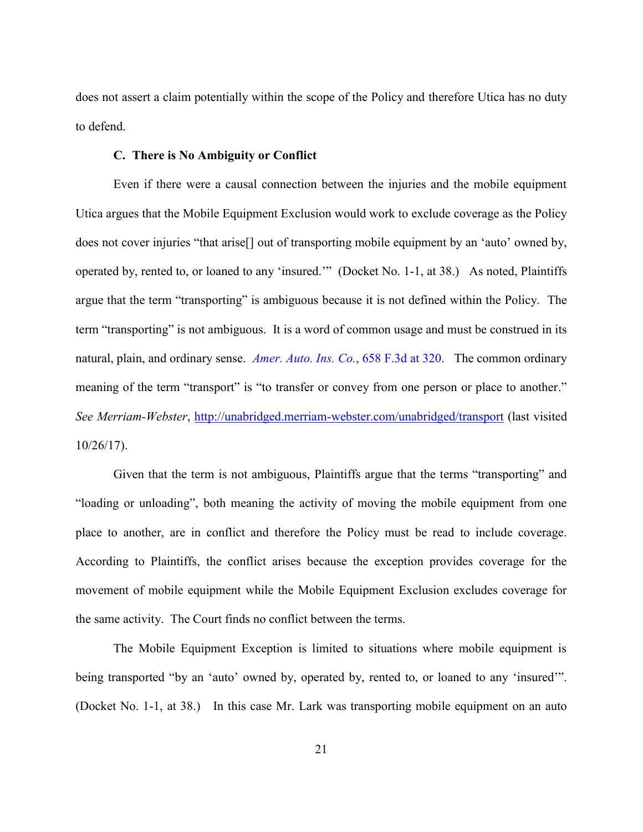does not assert a claim potentially within the scope of the Policy and therefore Utica has no duty to defend.

# **C. There is No Ambiguity or Conflict**

Even if there were a causal connection between the injuries and the mobile equipment Utica argues that the Mobile Equipment Exclusion would work to exclude coverage as the Policy does not cover injuries "that arise[] out of transporting mobile equipment by an 'auto' owned by, operated by, rented to, or loaned to any 'insured.'" (Docket No. 1-1, at 38.) As noted, Plaintiffs argue that the term "transporting" is ambiguous because it is not defined within the Policy. The term "transporting" is not ambiguous. It is a word of common usage and must be construed in its natural, plain, and ordinary sense. *[Amer. Auto. Ins. Co.](https://www.westlaw.com/Document/I220a1784dad911e08b448cf533780ea2/View/FullText.html?transitionType=Default&contextData=(sc.Default)&VR=3.0&RS=da3.0&fragmentIdentifier=co_pp_sp_506_320)*, 658 F.3d at 320. The common ordinary meaning of the term "transport" is "to transfer or convey from one person or place to another." *See Merriam-Webster*,<http://unabridged.merriam-webster.com/unabridged/transport> (last visited 10/26/17).

Given that the term is not ambiguous, Plaintiffs argue that the terms "transporting" and "loading or unloading", both meaning the activity of moving the mobile equipment from one place to another, are in conflict and therefore the Policy must be read to include coverage. According to Plaintiffs, the conflict arises because the exception provides coverage for the movement of mobile equipment while the Mobile Equipment Exclusion excludes coverage for the same activity. The Court finds no conflict between the terms.

The Mobile Equipment Exception is limited to situations where mobile equipment is being transported "by an 'auto' owned by, operated by, rented to, or loaned to any 'insured'". (Docket No. 1-1, at 38.) In this case Mr. Lark was transporting mobile equipment on an auto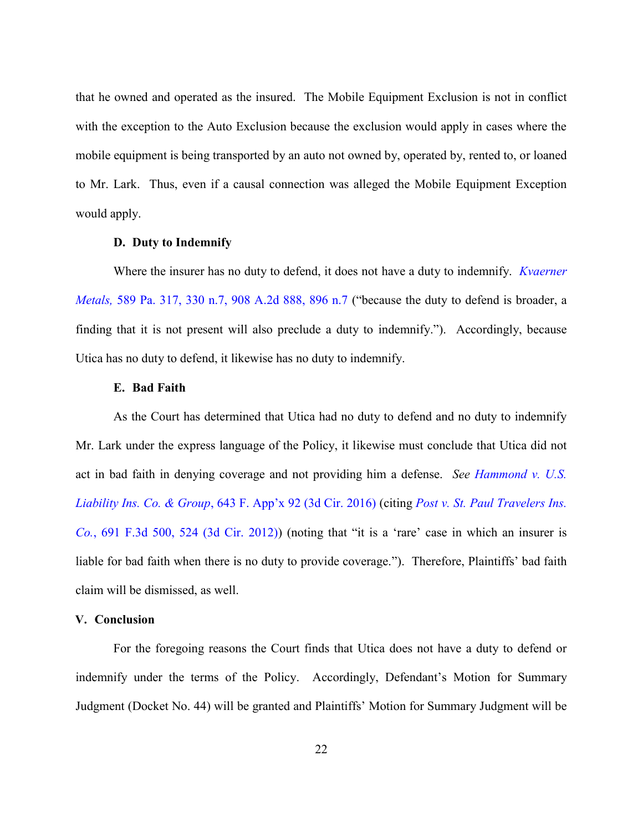that he owned and operated as the insured. The Mobile Equipment Exclusion is not in conflict with the exception to the Auto Exclusion because the exclusion would apply in cases where the mobile equipment is being transported by an auto not owned by, operated by, rented to, or loaned to Mr. Lark. Thus, even if a causal connection was alleged the Mobile Equipment Exception would apply.

### **D. Duty to Indemnify**

Where the insurer has no duty to defend, it does not have a duty to indemnify. *[Kvaerner](https://www.westlaw.com/Document/I6f77cace64ed11dbab489133ffb377e0/View/FullText.html?transitionType=Default&contextData=(sc.Default)&VR=3.0&RS=da3.0&fragmentIdentifier=co_pp_sp_651_330+n.7)  Metals,* [589 Pa. 317, 330 n.7, 908 A.2d 888, 896 n.7](https://www.westlaw.com/Document/I6f77cace64ed11dbab489133ffb377e0/View/FullText.html?transitionType=Default&contextData=(sc.Default)&VR=3.0&RS=da3.0&fragmentIdentifier=co_pp_sp_651_330+n.7) ("because the duty to defend is broader, a finding that it is not present will also preclude a duty to indemnify."). Accordingly, because Utica has no duty to defend, it likewise has no duty to indemnify.

# **E. Bad Faith**

As the Court has determined that Utica had no duty to defend and no duty to indemnify Mr. Lark under the express language of the Policy, it likewise must conclude that Utica did not act in bad faith in denying coverage and not providing him a defense. *See [Hammond v. U.S.](https://www.westlaw.com/Document/Ia0d43016e88611e590d4edf60ce7d742/View/FullText.html?transitionType=Default&contextData=(sc.Default)&VR=3.0&RS=da3.0)  Liability Ins. Co. & Group*[, 643 F. App'x 92 \(3d Cir. 2016\)](https://www.westlaw.com/Document/Ia0d43016e88611e590d4edf60ce7d742/View/FullText.html?transitionType=Default&contextData=(sc.Default)&VR=3.0&RS=da3.0) (citing *[Post v. St. Paul Travelers Ins.](https://www.westlaw.com/Document/Iac4d04e9db5411e1b60ab297d3d07bc5/View/FullText.html?transitionType=Default&contextData=(sc.Default)&VR=3.0&RS=da3.0&fragmentIdentifier=co_pp_sp_506_524)  Co.*[, 691 F.3d 500, 524 \(3d Cir. 2012\)](https://www.westlaw.com/Document/Iac4d04e9db5411e1b60ab297d3d07bc5/View/FullText.html?transitionType=Default&contextData=(sc.Default)&VR=3.0&RS=da3.0&fragmentIdentifier=co_pp_sp_506_524)) (noting that "it is a 'rare' case in which an insurer is liable for bad faith when there is no duty to provide coverage."). Therefore, Plaintiffs' bad faith claim will be dismissed, as well.

## **V. Conclusion**

For the foregoing reasons the Court finds that Utica does not have a duty to defend or indemnify under the terms of the Policy. Accordingly, Defendant's Motion for Summary Judgment (Docket No. 44) will be granted and Plaintiffs' Motion for Summary Judgment will be